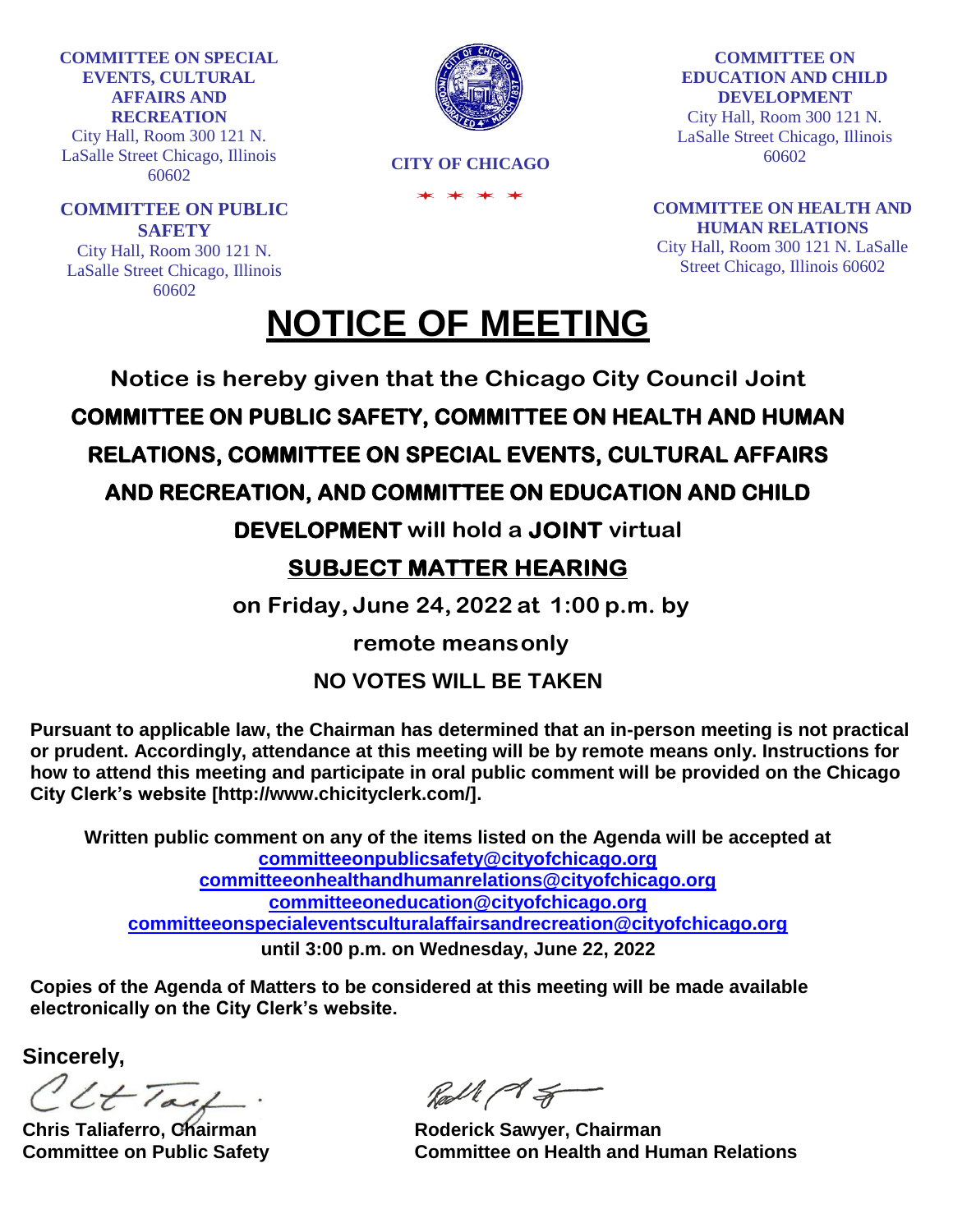**COMMITTEE ON SPECIAL EVENTS, CULTURAL AFFAIRS AND RECREATION**

City Hall, Room 300 121 N. LaSalle Street Chicago, Illinois 60602

**COMMITTEE ON PUBLIC SAFETY** City Hall, Room 300 121 N.

LaSalle Street Chicago, Illinois 60602



**CITY OF CHICAGO**

**COMMITTEE ON EDUCATION AND CHILD DEVELOPMENT** City Hall, Room 300 121 N. LaSalle Street Chicago, Illinois

60602

**COMMITTEE ON HEALTH AND HUMAN RELATIONS** City Hall, Room 300 121 N. LaSalle Street Chicago, Illinois 60602

# **NOTICE OF MEETING**

**Notice is hereby given that the Chicago City Council Joint**

**COMMITTEE ON PUBLIC SAFETY, COMMITTEE ON HEALTH AND HUMAN** 

# **RELATIONS, COMMITTEE ON SPECIAL EVENTS, CULTURAL AFFAIRS**

### **AND RECREATION, AND COMMITTEE ON EDUCATION AND CHILD**

**DEVELOPMENT will hold a JOINT virtual** 

## **SUBJECT MATTER HEARING**

**on Friday, June 24, 2022 at 1:00 p.m. by** 

**remote meansonly**

### **NO VOTES WILL BE TAKEN**

**Pursuant to applicable law, the Chairman has determined that an in-person meeting is not practical or prudent. Accordingly, attendance at this meeting will be by remote means only. Instructions for how to attend this meeting and participate in oral public comment will be provided on the Chicago City Clerk's website [\[http://www.chicityclerk.com/\].](http://www.chicityclerk.com/)**

**Written public comment on any of the items listed on the Agenda will be accepted at [committeeonpublicsafety@cityofchicago.org](mailto:committeeonpublicsafety@cityofchicago.org) [committeeonhealthandhumanrelations@cityofchicago.org](mailto:committeeonhealthandhumanrelations@cityofchicago.org) [committeeoneducation@cityofchicago.org](mailto:committeeoneducation@cityofchicago.org) [committeeonspecialeventsculturalaffairsandrecreation@cityofchicago.org](mailto:committeeonspecialeventsculturalaffairsandrecreation@cityofchicago.org) until 3:00 p.m. on Wednesday, June 22, 2022**

**Copies of the Agenda of Matters to be considered at this meeting will be made available electronically on the City Clerk's website.**

**Sincerely,**

IltTail.

Roll ( of S

**Chris Taliaferro, Chairman**  Roderick Sawyer, Chairman **Committee on Public Safety Committee on Health and Human Relations**